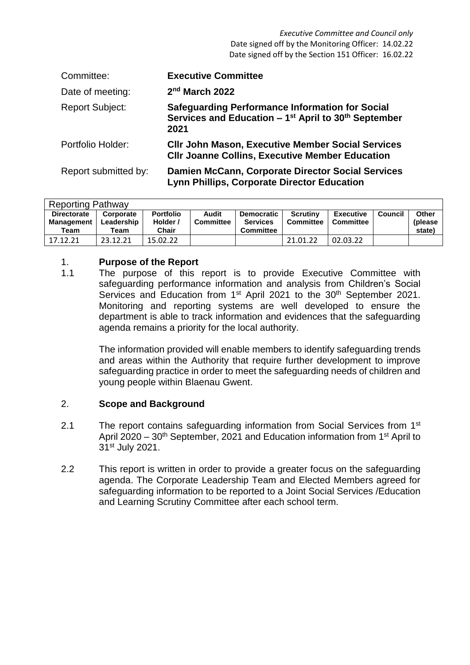*Executive Committee and Council only* Date signed off by the Monitoring Officer: 14.02.22 Date signed off by the Section 151 Officer: 16.02.22

| Committee:             | <b>Executive Committee</b>                                                                                                                      |
|------------------------|-------------------------------------------------------------------------------------------------------------------------------------------------|
| Date of meeting:       | $2nd$ March 2022                                                                                                                                |
| <b>Report Subject:</b> | <b>Safeguarding Performance Information for Social</b><br>Services and Education $-1$ <sup>st</sup> April to 30 <sup>th</sup> September<br>2021 |
| Portfolio Holder:      | <b>CIIr John Mason, Executive Member Social Services</b><br><b>CIIr Joanne Collins, Executive Member Education</b>                              |
| Report submitted by:   | Damien McCann, Corporate Director Social Services<br><b>Lynn Phillips, Corporate Director Education</b>                                         |

| <b>Reporting Pathway</b> |            |                  |                  |                   |                  |                  |         |          |  |  |
|--------------------------|------------|------------------|------------------|-------------------|------------------|------------------|---------|----------|--|--|
| <b>Directorate</b>       | Corporate  | <b>Portfolio</b> | Audit            | <b>Democratic</b> | <b>Scrutiny</b>  | <b>Executive</b> | Council | Other    |  |  |
| Management               | Leadership | Holder /         | <b>Committee</b> | <b>Services</b>   | <b>Committee</b> | Committee        |         | (please) |  |  |
| Team                     | Team       | <b>Chair</b>     |                  | <b>Committee</b>  |                  |                  |         | state)   |  |  |
| 17.12.21                 | 23.12.21   | 15.02.22         |                  |                   | 21.01.22         | 02.03.22         |         |          |  |  |

# 1. **Purpose of the Report**

1.1 The purpose of this report is to provide Executive Committee with safeguarding performance information and analysis from Children's Social Services and Education from 1<sup>st</sup> April 2021 to the 30<sup>th</sup> September 2021. Monitoring and reporting systems are well developed to ensure the department is able to track information and evidences that the safeguarding agenda remains a priority for the local authority.

> The information provided will enable members to identify safeguarding trends and areas within the Authority that require further development to improve safeguarding practice in order to meet the safeguarding needs of children and young people within Blaenau Gwent.

# 2. **Scope and Background**

- 2.1 The report contains safeguarding information from Social Services from 1<sup>st</sup> April 2020 – 30<sup>th</sup> September, 2021 and Education information from 1<sup>st</sup> April to 31st July 2021.
- 2.2 This report is written in order to provide a greater focus on the safeguarding agenda. The Corporate Leadership Team and Elected Members agreed for safeguarding information to be reported to a Joint Social Services /Education and Learning Scrutiny Committee after each school term.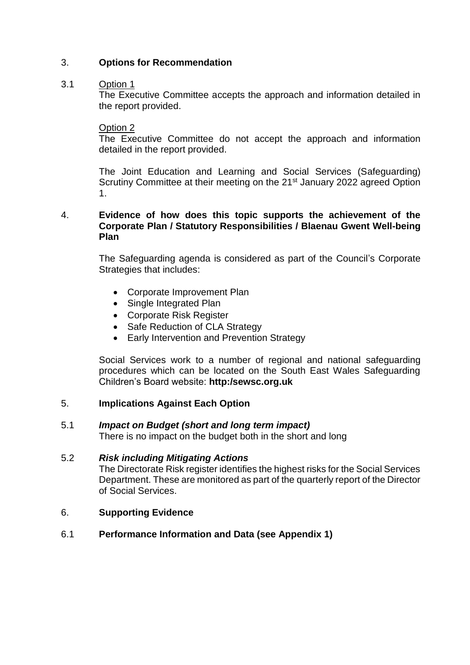# 3. **Options for Recommendation**

## 3.1 Option 1

The Executive Committee accepts the approach and information detailed in the report provided.

### Option 2

The Executive Committee do not accept the approach and information detailed in the report provided.

The Joint Education and Learning and Social Services (Safeguarding) Scrutiny Committee at their meeting on the 21<sup>st</sup> January 2022 agreed Option 1.

# 4. **Evidence of how does this topic supports the achievement of the Corporate Plan / Statutory Responsibilities / Blaenau Gwent Well-being Plan**

The Safeguarding agenda is considered as part of the Council's Corporate Strategies that includes:

- Corporate Improvement Plan
- Single Integrated Plan
- Corporate Risk Register
- Safe Reduction of CLA Strategy
- Early Intervention and Prevention Strategy

Social Services work to a number of regional and national safeguarding procedures which can be located on the South East Wales Safeguarding Children's Board website: **http:/sewsc.org.uk**

# 5. **Implications Against Each Option**

# 5.1 *Impact on Budget (short and long term impact)*

There is no impact on the budget both in the short and long

# 5.2 *Risk including Mitigating Actions*

The Directorate Risk register identifies the highest risks for the Social Services Department. These are monitored as part of the quarterly report of the Director of Social Services.

### 6. **Supporting Evidence**

### 6.1 **Performance Information and Data (see Appendix 1)**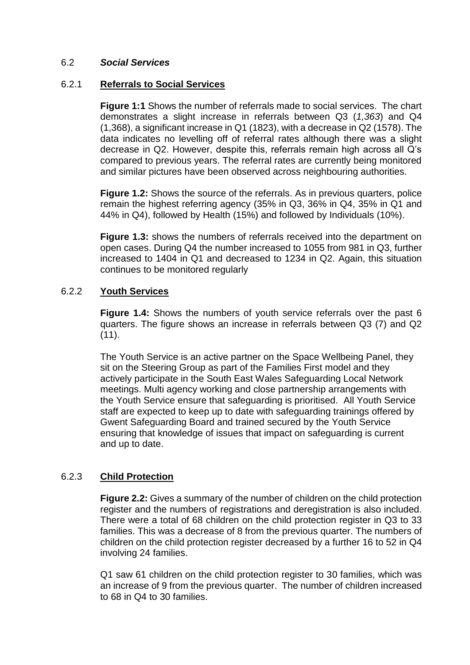### 6.2 *Social Services*

#### 6.2.1 **Referrals to Social Services**

**Figure 1:1** Shows the number of referrals made to social services. The chart demonstrates a slight increase in referrals between Q3 (*1,363*) and Q4 (1,368), a significant increase in Q1 (1823), with a decrease in Q2 (1578). The data indicates no levelling off of referral rates although there was a slight decrease in Q2. However, despite this, referrals remain high across all Q's compared to previous years. The referral rates are currently being monitored and similar pictures have been observed across neighbouring authorities.

**Figure 1.2:** Shows the source of the referrals. As in previous quarters, police remain the highest referring agency (35% in Q3, 36% in Q4, 35% in Q1 and 44% in Q4), followed by Health (15%) and followed by Individuals (10%).

**Figure 1.3:** shows the numbers of referrals received into the department on open cases. During Q4 the number increased to 1055 from 981 in Q3, further increased to 1404 in Q1 and decreased to 1234 in Q2. Again, this situation continues to be monitored regularly

### 6.2.2 **Youth Services**

**Figure 1.4:** Shows the numbers of youth service referrals over the past 6 quarters. The figure shows an increase in referrals between Q3 (7) and Q2 (11).

The Youth Service is an active partner on the Space Wellbeing Panel, they sit on the Steering Group as part of the Families First model and they actively participate in the South East Wales Safeguarding Local Network meetings. Multi agency working and close partnership arrangements with the Youth Service ensure that safeguarding is prioritised. All Youth Service staff are expected to keep up to date with safeguarding trainings offered by Gwent Safeguarding Board and trained secured by the Youth Service ensuring that knowledge of issues that impact on safeguarding is current and up to date.

### 6.2.3 **Child Protection**

**Figure 2.2:** Gives a summary of the number of children on the child protection register and the numbers of registrations and deregistration is also included. There were a total of 68 children on the child protection register in Q3 to 33 families. This was a decrease of 8 from the previous quarter. The numbers of children on the child protection register decreased by a further 16 to 52 in Q4 involving 24 families.

Q1 saw 61 children on the child protection register to 30 families, which was an increase of 9 from the previous quarter. The number of children increased to 68 in Q4 to 30 families.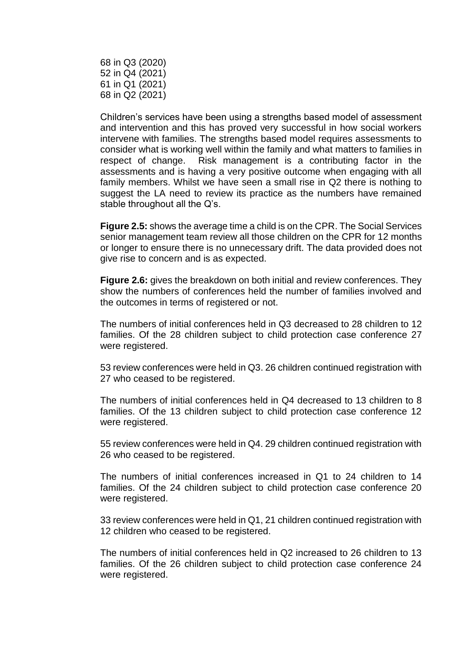68 in Q3 (2020) 52 in Q4 (2021) 61 in Q1 (2021) 68 in Q2 (2021)

Children's services have been using a strengths based model of assessment and intervention and this has proved very successful in how social workers intervene with families. The strengths based model requires assessments to consider what is working well within the family and what matters to families in respect of change. Risk management is a contributing factor in the assessments and is having a very positive outcome when engaging with all family members. Whilst we have seen a small rise in Q2 there is nothing to suggest the LA need to review its practice as the numbers have remained stable throughout all the Q's.

**Figure 2.5:** shows the average time a child is on the CPR. The Social Services senior management team review all those children on the CPR for 12 months or longer to ensure there is no unnecessary drift. The data provided does not give rise to concern and is as expected.

**Figure 2.6:** gives the breakdown on both initial and review conferences. They show the numbers of conferences held the number of families involved and the outcomes in terms of registered or not.

The numbers of initial conferences held in Q3 decreased to 28 children to 12 families. Of the 28 children subject to child protection case conference 27 were registered.

53 review conferences were held in Q3. 26 children continued registration with 27 who ceased to be registered.

The numbers of initial conferences held in Q4 decreased to 13 children to 8 families. Of the 13 children subject to child protection case conference 12 were registered.

55 review conferences were held in Q4. 29 children continued registration with 26 who ceased to be registered.

The numbers of initial conferences increased in Q1 to 24 children to 14 families. Of the 24 children subject to child protection case conference 20 were registered.

33 review conferences were held in Q1, 21 children continued registration with 12 children who ceased to be registered.

The numbers of initial conferences held in Q2 increased to 26 children to 13 families. Of the 26 children subject to child protection case conference 24 were registered.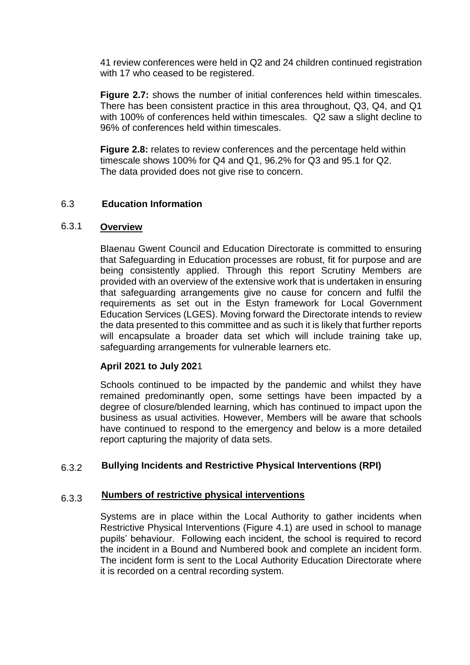41 review conferences were held in Q2 and 24 children continued registration with 17 who ceased to be registered.

**Figure 2.7:** shows the number of initial conferences held within timescales. There has been consistent practice in this area throughout, Q3, Q4, and Q1 with 100% of conferences held within timescales. Q2 saw a slight decline to 96% of conferences held within timescales.

**Figure 2.8:** relates to review conferences and the percentage held within timescale shows 100% for Q4 and Q1, 96.2% for Q3 and 95.1 for Q2. The data provided does not give rise to concern.

### 6.3 **Education Information**

### 6.3.1 **Overview**

Blaenau Gwent Council and Education Directorate is committed to ensuring that Safeguarding in Education processes are robust, fit for purpose and are being consistently applied. Through this report Scrutiny Members are provided with an overview of the extensive work that is undertaken in ensuring that safeguarding arrangements give no cause for concern and fulfil the requirements as set out in the Estyn framework for Local Government Education Services (LGES). Moving forward the Directorate intends to review the data presented to this committee and as such it is likely that further reports will encapsulate a broader data set which will include training take up, safeguarding arrangements for vulnerable learners etc.

# **April 2021 to July 202**1

Schools continued to be impacted by the pandemic and whilst they have remained predominantly open, some settings have been impacted by a degree of closure/blended learning, which has continued to impact upon the business as usual activities. However, Members will be aware that schools have continued to respond to the emergency and below is a more detailed report capturing the majority of data sets.

### 6.3.2 **Bullying Incidents and Restrictive Physical Interventions (RPI)**

### 6.3.3 **Numbers of restrictive physical interventions**

Systems are in place within the Local Authority to gather incidents when Restrictive Physical Interventions (Figure 4.1) are used in school to manage pupils' behaviour. Following each incident, the school is required to record the incident in a Bound and Numbered book and complete an incident form. The incident form is sent to the Local Authority Education Directorate where it is recorded on a central recording system.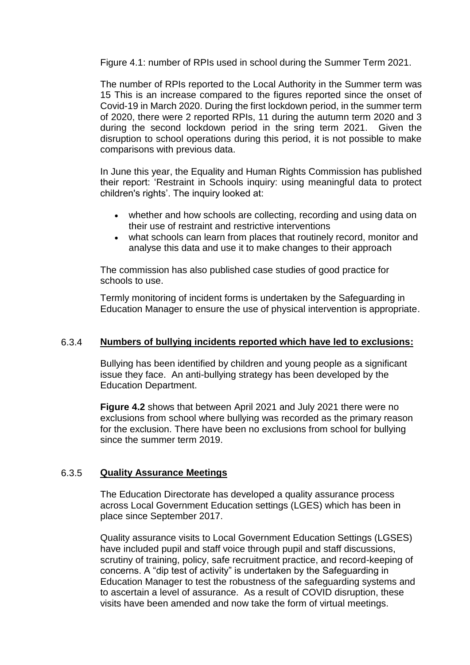Figure 4.1: number of RPIs used in school during the Summer Term 2021.

The number of RPIs reported to the Local Authority in the Summer term was 15 This is an increase compared to the figures reported since the onset of Covid-19 in March 2020. During the first lockdown period, in the summer term of 2020, there were 2 reported RPIs, 11 during the autumn term 2020 and 3 during the second lockdown period in the sring term 2021. Given the disruption to school operations during this period, it is not possible to make comparisons with previous data.

In June this year, the Equality and Human Rights Commission has published their report: 'Restraint in Schools inquiry: using meaningful data to protect children's rights'. The inquiry looked at:

- whether and how schools are collecting, recording and using data on their use of restraint and restrictive interventions
- what schools can learn from places that routinely record, monitor and analyse this data and use it to make changes to their approach

The commission has also published case studies of good practice for schools to use.

Termly monitoring of incident forms is undertaken by the Safeguarding in Education Manager to ensure the use of physical intervention is appropriate.

### 6.3.4 **Numbers of bullying incidents reported which have led to exclusions:**

Bullying has been identified by children and young people as a significant issue they face. An anti-bullying strategy has been developed by the Education Department.

**Figure 4.2** shows that between April 2021 and July 2021 there were no exclusions from school where bullying was recorded as the primary reason for the exclusion. There have been no exclusions from school for bullying since the summer term 2019.

### 6.3.5 **Quality Assurance Meetings**

The Education Directorate has developed a quality assurance process across Local Government Education settings (LGES) which has been in place since September 2017.

Quality assurance visits to Local Government Education Settings (LGSES) have included pupil and staff voice through pupil and staff discussions. scrutiny of training, policy, safe recruitment practice, and record-keeping of concerns. A "dip test of activity" is undertaken by the Safeguarding in Education Manager to test the robustness of the safeguarding systems and to ascertain a level of assurance. As a result of COVID disruption, these visits have been amended and now take the form of virtual meetings.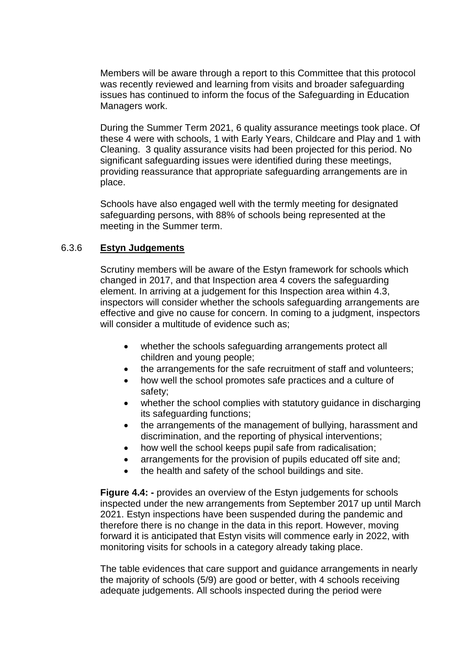Members will be aware through a report to this Committee that this protocol was recently reviewed and learning from visits and broader safeguarding issues has continued to inform the focus of the Safeguarding in Education Managers work.

During the Summer Term 2021, 6 quality assurance meetings took place. Of these 4 were with schools, 1 with Early Years, Childcare and Play and 1 with Cleaning. 3 quality assurance visits had been projected for this period. No significant safeguarding issues were identified during these meetings, providing reassurance that appropriate safeguarding arrangements are in place.

Schools have also engaged well with the termly meeting for designated safeguarding persons, with 88% of schools being represented at the meeting in the Summer term.

### 6.3.6 **Estyn Judgements**

Scrutiny members will be aware of the Estyn framework for schools which changed in 2017, and that Inspection area 4 covers the safeguarding element. In arriving at a judgement for this Inspection area within 4.3, inspectors will consider whether the schools safeguarding arrangements are effective and give no cause for concern. In coming to a judgment, inspectors will consider a multitude of evidence such as;

- whether the schools safeguarding arrangements protect all children and young people;
- the arrangements for the safe recruitment of staff and volunteers;
- how well the school promotes safe practices and a culture of safety;
- whether the school complies with statutory guidance in discharging its safeguarding functions;
- the arrangements of the management of bullying, harassment and discrimination, and the reporting of physical interventions;
- how well the school keeps pupil safe from radicalisation;
- arrangements for the provision of pupils educated off site and;
- the health and safety of the school buildings and site.

**Figure 4.4: -** provides an overview of the Estyn judgements for schools inspected under the new arrangements from September 2017 up until March 2021. Estyn inspections have been suspended during the pandemic and therefore there is no change in the data in this report. However, moving forward it is anticipated that Estyn visits will commence early in 2022, with monitoring visits for schools in a category already taking place.

The table evidences that care support and guidance arrangements in nearly the majority of schools (5/9) are good or better, with 4 schools receiving adequate judgements. All schools inspected during the period were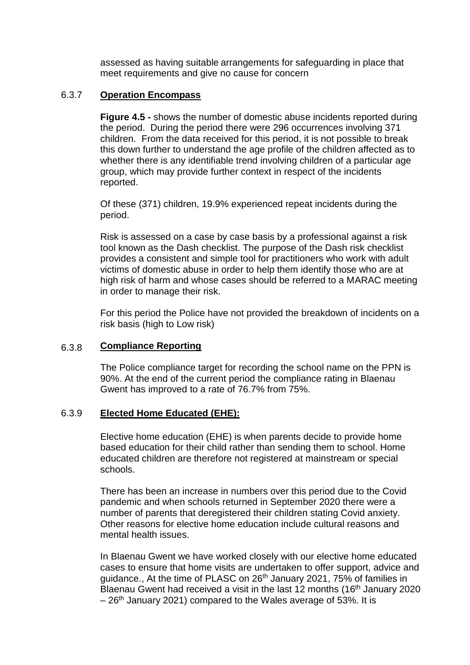assessed as having suitable arrangements for safeguarding in place that meet requirements and give no cause for concern

### 6.3.7 **Operation Encompass**

**Figure 4.5 -** shows the number of domestic abuse incidents reported during the period. During the period there were 296 occurrences involving 371 children. From the data received for this period, it is not possible to break this down further to understand the age profile of the children affected as to whether there is any identifiable trend involving children of a particular age group, which may provide further context in respect of the incidents reported.

Of these (371) children, 19.9% experienced repeat incidents during the period.

Risk is assessed on a case by case basis by a professional against a risk tool known as the Dash checklist. The purpose of the Dash risk checklist provides a consistent and simple tool for practitioners who work with adult victims of domestic abuse in order to help them identify those who are at high risk of harm and whose cases should be referred to a MARAC meeting in order to manage their risk.

For this period the Police have not provided the breakdown of incidents on a risk basis (high to Low risk)

### 6.3.8 **Compliance Reporting**

The Police compliance target for recording the school name on the PPN is 90%. At the end of the current period the compliance rating in Blaenau Gwent has improved to a rate of 76.7% from 75%.

### 6.3.9 **Elected Home Educated (EHE):**

Elective home education (EHE) is when parents decide to provide home based education for their child rather than sending them to school. Home educated children are therefore not registered at mainstream or special schools.

There has been an increase in numbers over this period due to the Covid pandemic and when schools returned in September 2020 there were a number of parents that deregistered their children stating Covid anxiety. Other reasons for elective home education include cultural reasons and mental health issues.

In Blaenau Gwent we have worked closely with our elective home educated cases to ensure that home visits are undertaken to offer support, advice and guidance., At the time of PLASC on 26<sup>th</sup> January 2021, 75% of families in Blaenau Gwent had received a visit in the last  $12$  months ( $16<sup>th</sup>$  January 2020  $-26$ <sup>th</sup> January 2021) compared to the Wales average of 53%. It is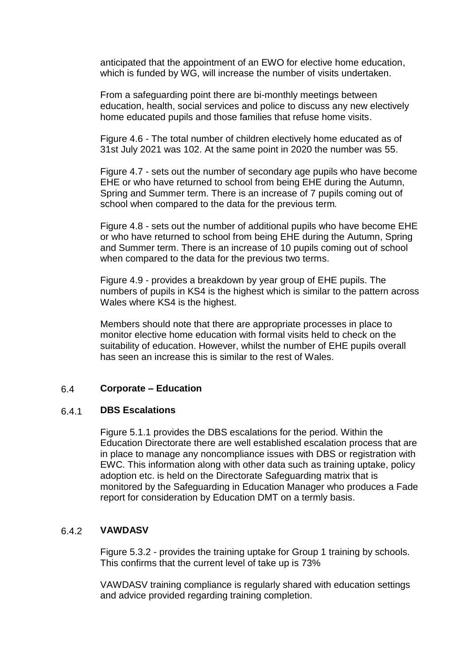anticipated that the appointment of an EWO for elective home education, which is funded by WG, will increase the number of visits undertaken.

From a safeguarding point there are bi-monthly meetings between education, health, social services and police to discuss any new electively home educated pupils and those families that refuse home visits.

Figure 4.6 - The total number of children electively home educated as of 31st July 2021 was 102. At the same point in 2020 the number was 55.

Figure 4.7 - sets out the number of secondary age pupils who have become EHE or who have returned to school from being EHE during the Autumn, Spring and Summer term. There is an increase of 7 pupils coming out of school when compared to the data for the previous term*.*

Figure 4.8 - sets out the number of additional pupils who have become EHE or who have returned to school from being EHE during the Autumn, Spring and Summer term. There is an increase of 10 pupils coming out of school when compared to the data for the previous two terms.

Figure 4.9 - provides a breakdown by year group of EHE pupils. The numbers of pupils in KS4 is the highest which is similar to the pattern across Wales where KS4 is the highest.

Members should note that there are appropriate processes in place to monitor elective home education with formal visits held to check on the suitability of education. However, whilst the number of EHE pupils overall has seen an increase this is similar to the rest of Wales.

### 6.4 **Corporate – Education**

#### 6.4.1 **DBS Escalations**

Figure 5.1.1 provides the DBS escalations for the period. Within the Education Directorate there are well established escalation process that are in place to manage any noncompliance issues with DBS or registration with EWC. This information along with other data such as training uptake, policy adoption etc. is held on the Directorate Safeguarding matrix that is monitored by the Safeguarding in Education Manager who produces a Fade report for consideration by Education DMT on a termly basis.

#### 6.4.2 **VAWDASV**

Figure 5.3.2 - provides the training uptake for Group 1 training by schools. This confirms that the current level of take up is 73%

VAWDASV training compliance is regularly shared with education settings and advice provided regarding training completion.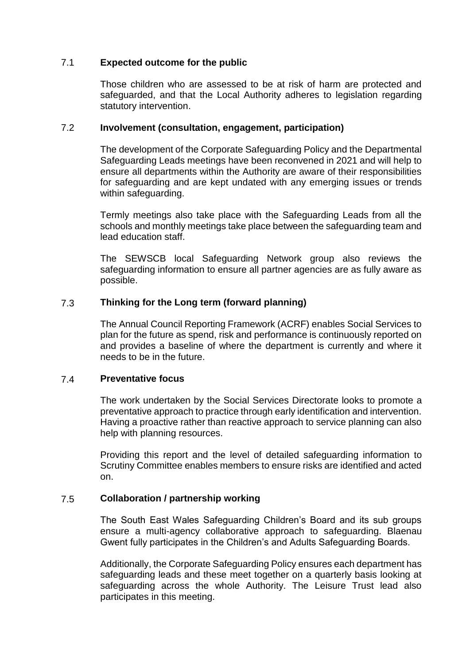### 7.1 **Expected outcome for the public**

Those children who are assessed to be at risk of harm are protected and safeguarded, and that the Local Authority adheres to legislation regarding statutory intervention.

### 7.2 **Involvement (consultation, engagement, participation)**

The development of the Corporate Safeguarding Policy and the Departmental Safeguarding Leads meetings have been reconvened in 2021 and will help to ensure all departments within the Authority are aware of their responsibilities for safeguarding and are kept undated with any emerging issues or trends within safeguarding.

Termly meetings also take place with the Safeguarding Leads from all the schools and monthly meetings take place between the safeguarding team and lead education staff.

The SEWSCB local Safeguarding Network group also reviews the safeguarding information to ensure all partner agencies are as fully aware as possible.

### 7.3 **Thinking for the Long term (forward planning)**

The Annual Council Reporting Framework (ACRF) enables Social Services to plan for the future as spend, risk and performance is continuously reported on and provides a baseline of where the department is currently and where it needs to be in the future.

#### 7.4 **Preventative focus**

The work undertaken by the Social Services Directorate looks to promote a preventative approach to practice through early identification and intervention. Having a proactive rather than reactive approach to service planning can also help with planning resources.

Providing this report and the level of detailed safeguarding information to Scrutiny Committee enables members to ensure risks are identified and acted on.

### 7.5 **Collaboration / partnership working**

The South East Wales Safeguarding Children's Board and its sub groups ensure a multi-agency collaborative approach to safeguarding. Blaenau Gwent fully participates in the Children's and Adults Safeguarding Boards.

Additionally, the Corporate Safeguarding Policy ensures each department has safeguarding leads and these meet together on a quarterly basis looking at safeguarding across the whole Authority. The Leisure Trust lead also participates in this meeting.